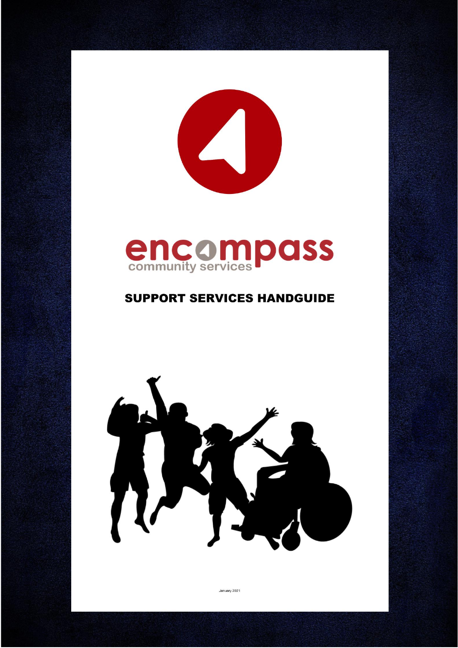

# **encompass**

# **SUPPORT SERVICES HANDGUIDE**



January 2021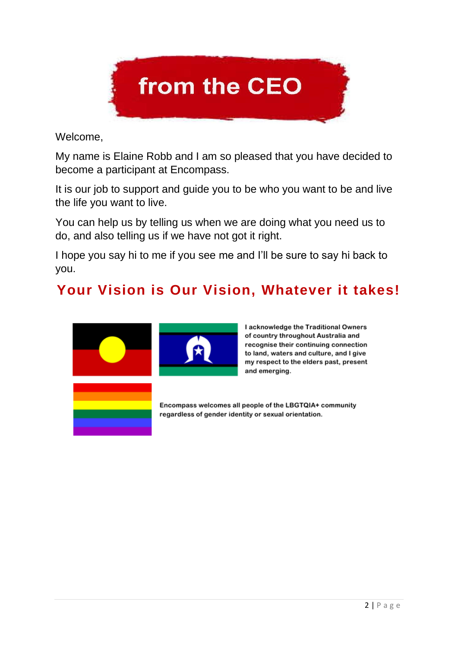

Welcome,

My name is Elaine Robb and I am so pleased that you have decided to become a participant at Encompass.

It is our job to support and guide you to be who you want to be and live the life you want to live.

You can help us by telling us when we are doing what you need us to do, and also telling us if we have not got it right.

I hope you say hi to me if you see me and I'll be sure to say hi back to you.

# **Your Vision is Our Vision, Whatever it takes!**



I acknowledge the Traditional Owners of country throughout Australia and recognise their continuing connection to land, waters and culture, and I give my respect to the elders past, present and emerging.

Encompass welcomes all people of the LBGTQIA+ community regardless of gender identity or sexual orientation.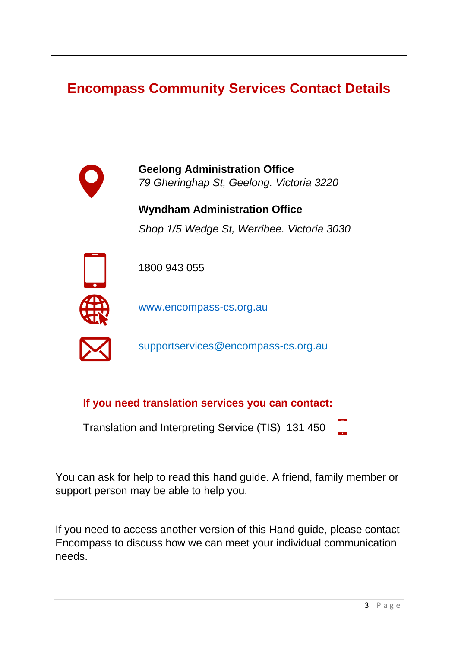# **Encompass Community Services Contact Details**



**Geelong Administration Office**  *79 Gheringhap St, Geelong. Victoria 3220*

**Wyndham Administration Office** *Shop 1/5 Wedge St, Werribee. Victoria 3030*



1800 943 055

[www.encompass-cs.org.au](http://www.encompass-cs.org.au/)



supportservice[s@encompass-cs.org.au](mailto:info@encompass-cs.org.au) 

**If you need translation services you can contact:** 

Translation and Interpreting Service (TIS) 131 450

You can ask for help to read this hand guide. A friend, family member or support person may be able to help you.

If you need to access another version of this Hand guide, please contact Encompass to discuss how we can meet your individual communication needs.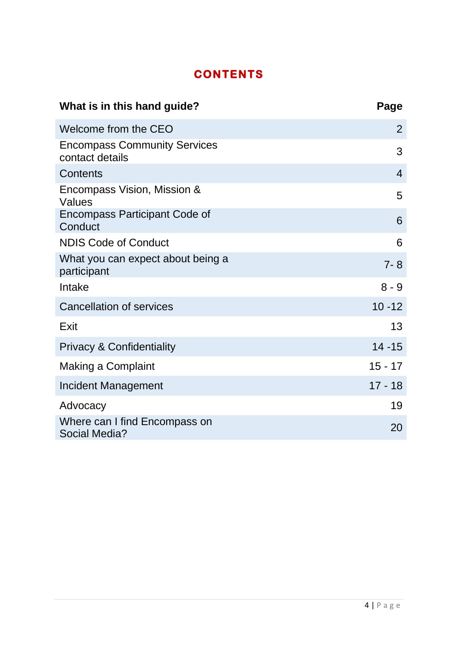# **CONTENTS**

| What is in this hand guide?                            | Page           |
|--------------------------------------------------------|----------------|
| Welcome from the CEO                                   | $\overline{2}$ |
| <b>Encompass Community Services</b><br>contact details | 3              |
| Contents                                               | $\overline{4}$ |
| Encompass Vision, Mission &<br>Values                  | 5              |
| Encompass Participant Code of<br>Conduct               | 6              |
| <b>NDIS Code of Conduct</b>                            | 6              |
| What you can expect about being a<br>participant       | $7 - 8$        |
| Intake                                                 | $8 - 9$        |
| <b>Cancellation of services</b>                        | $10 - 12$      |
| Exit                                                   | 13             |
| <b>Privacy &amp; Confidentiality</b>                   | $14 - 15$      |
| Making a Complaint                                     | $15 - 17$      |
| Incident Management                                    | $17 - 18$      |
| Advocacy                                               | 19             |
| Where can I find Encompass on<br>Social Media?         | 20             |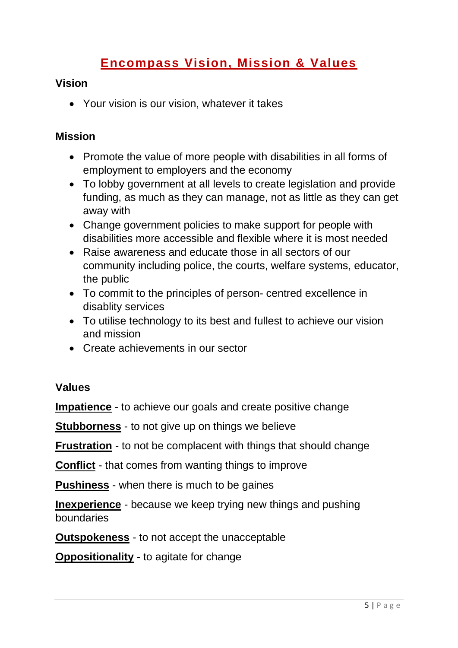# **Encompass Vision, Mission & Values**

#### **Vision**

• Your vision is our vision, whatever it takes

#### **Mission**

- Promote the value of more people with disabilities in all forms of employment to employers and the economy
- To lobby government at all levels to create legislation and provide funding, as much as they can manage, not as little as they can get away with
- Change government policies to make support for people with disabilities more accessible and flexible where it is most needed
- Raise awareness and educate those in all sectors of our community including police, the courts, welfare systems, educator, the public
- To commit to the principles of person- centred excellence in disablity services
- To utilise technology to its best and fullest to achieve our vision and mission
- Create achievements in our sector

#### **Values**

**Impatience** - to achieve our goals and create positive change

**Stubborness** - to not give up on things we believe

**Frustration** - to not be complacent with things that should change

**Conflict** - that comes from wanting things to improve

**Pushiness** - when there is much to be gaines

**Inexperience** - because we keep trying new things and pushing boundaries

**Outspokeness** - to not accept the unacceptable

**Oppositionality** - to agitate for change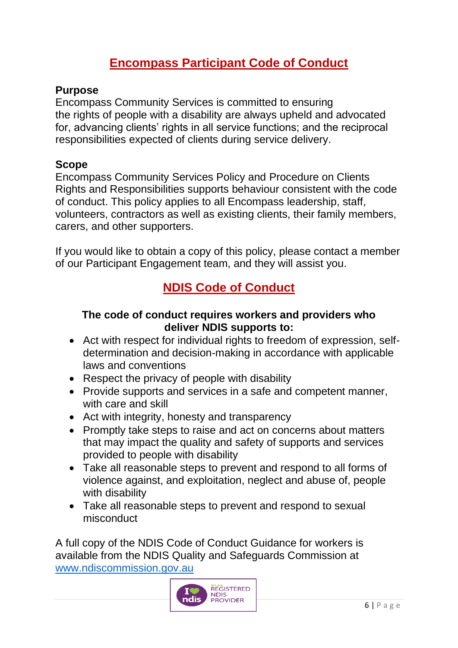# **Encompass Participant Code of Conduct**

## **Purpose**

Encompass Community Services is committed to ensuring the rights of people with a disability are always upheld and advocated for, advancing clients' rights in all service functions; and the reciprocal responsibilities expected of clients during service delivery.

#### **Scope**

Encompass Community Services Policy and Procedure on Clients Rights and Responsibilities supports behaviour consistent with the code of conduct. This policy applies to all Encompass leadership, staff, volunteers, contractors as well as existing clients, their family members, carers, and other supporters.

If you would like to obtain a copy of this policy, please contact a member of our Participant Engagement team, and they will assist you.

# **NDIS Code of Conduct**

## **The code of conduct requires workers and providers who deliver NDIS supports to:**

- Act with respect for individual rights to freedom of expression, selfdetermination and decision-making in accordance with applicable laws and conventions
- Respect the privacy of people with disability
- Provide supports and services in a safe and competent manner, with care and skill
- Act with integrity, honesty and transparency
- Promptly take steps to raise and act on concerns about matters that may impact the quality and safety of supports and services provided to people with disability
- Take all reasonable steps to prevent and respond to all forms of violence against, and exploitation, neglect and abuse of, people with disability
- Take all reasonable steps to prevent and respond to sexual misconduct

A full copy of the NDIS Code of Conduct Guidance for workers is available from the NDIS Quality and Safeguards Commission at [www.ndiscommission.gov.au](http://www.ndiscommission.gov.au/)

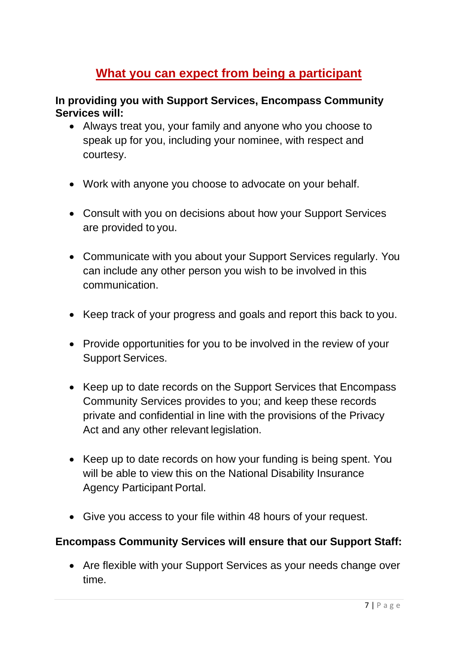# **What you can expect from being a participant**

#### **In providing you with Support Services, Encompass Community Services will:**

- Always treat you, your family and anyone who you choose to speak up for you, including your nominee, with respect and courtesy.
- Work with anyone you choose to advocate on your behalf.
- Consult with you on decisions about how your Support Services are provided to you.
- Communicate with you about your Support Services regularly. You can include any other person you wish to be involved in this communication.
- Keep track of your progress and goals and report this back to you.
- Provide opportunities for you to be involved in the review of your Support Services.
- Keep up to date records on the Support Services that Encompass Community Services provides to you; and keep these records private and confidential in line with the provisions of the Privacy Act and any other relevant legislation.
- Keep up to date records on how your funding is being spent. You will be able to view this on the National Disability Insurance Agency Participant Portal.
- Give you access to your file within 48 hours of your request.

#### **Encompass Community Services will ensure that our Support Staff:**

• Are flexible with your Support Services as your needs change over time.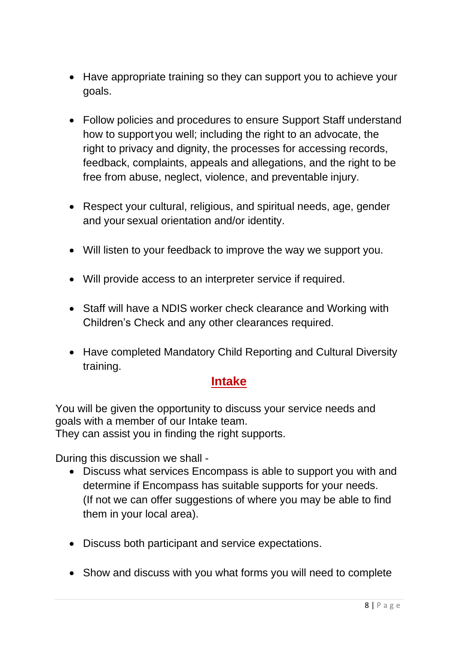- Have appropriate training so they can support you to achieve your goals.
- Follow policies and procedures to ensure Support Staff understand how to support you well; including the right to an advocate, the right to privacy and dignity, the processes for accessing records, feedback, complaints, appeals and allegations, and the right to be free from abuse, neglect, violence, and preventable injury.
- Respect your cultural, religious, and spiritual needs, age, gender and your sexual orientation and/or identity.
- Will listen to your feedback to improve the way we support you.
- Will provide access to an interpreter service if required.
- Staff will have a NDIS worker check clearance and Working with Children's Check and any other clearances required.
- Have completed Mandatory Child Reporting and Cultural Diversity training.

## **Intake**

You will be given the opportunity to discuss your service needs and goals with a member of our Intake team. They can assist you in finding the right supports.

During this discussion we shall -

- Discuss what services Encompass is able to support you with and determine if Encompass has suitable supports for your needs. (If not we can offer suggestions of where you may be able to find them in your local area).
- Discuss both participant and service expectations.
- Show and discuss with you what forms you will need to complete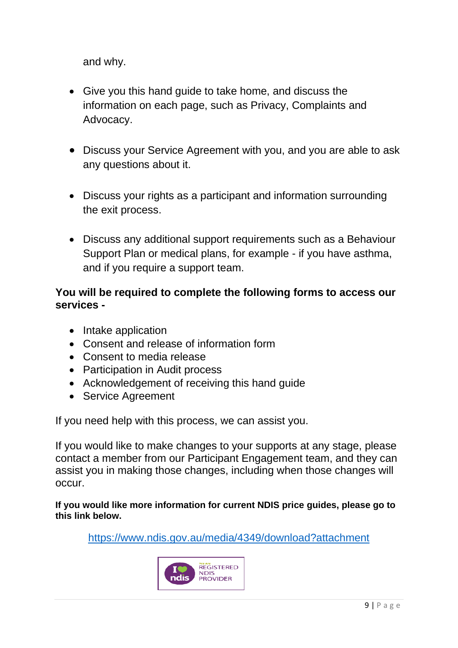and why.

- Give you this hand guide to take home, and discuss the information on each page, such as Privacy, Complaints and Advocacy.
- Discuss your Service Agreement with you, and you are able to ask any questions about it.
- Discuss your rights as a participant and information surrounding the exit process.
- Discuss any additional support requirements such as a Behaviour Support Plan or medical plans, for example - if you have asthma, and if you require a support team.

#### **You will be required to complete the following forms to access our services -**

- Intake application
- Consent and release of information form
- Consent to media release
- Participation in Audit process
- Acknowledgement of receiving this hand guide
- Service Agreement

If you need help with this process, we can assist you.

If you would like to make changes to your supports at any stage, please contact a member from our Participant Engagement team, and they can assist you in making those changes, including when those changes will occur.

**If you would like more information for current NDIS price guides, please go to this link below.** 

<https://www.ndis.gov.au/media/4349/download?attachment>

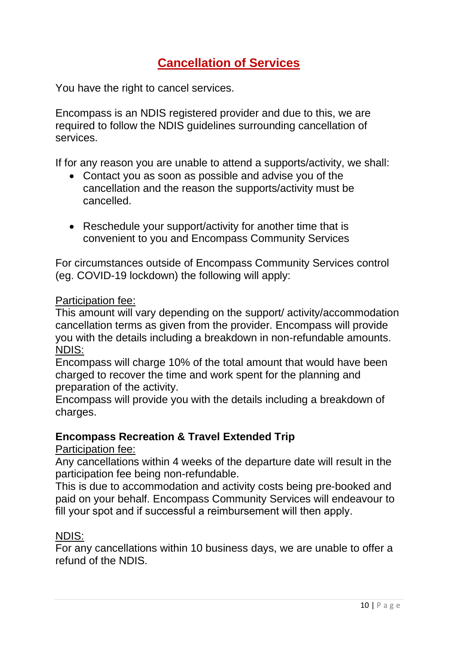# **Cancellation of Services**

You have the right to cancel services.

Encompass is an NDIS registered provider and due to this, we are required to follow the NDIS guidelines surrounding cancellation of services.

If for any reason you are unable to attend a supports/activity, we shall:

- Contact you as soon as possible and advise you of the cancellation and the reason the supports/activity must be cancelled.
- Reschedule your support/activity for another time that is convenient to you and Encompass Community Services

For circumstances outside of Encompass Community Services control (eg. COVID-19 lockdown) the following will apply:

#### Participation fee:

This amount will vary depending on the support/ activity/accommodation cancellation terms as given from the provider. Encompass will provide you with the details including a breakdown in non-refundable amounts. NDIS:

Encompass will charge 10% of the total amount that would have been charged to recover the time and work spent for the planning and preparation of the activity.

Encompass will provide you with the details including a breakdown of charges.

#### **Encompass Recreation & Travel Extended Trip**

#### Participation fee:

Any cancellations within 4 weeks of the departure date will result in the participation fee being non-refundable.

This is due to accommodation and activity costs being pre-booked and paid on your behalf. Encompass Community Services will endeavour to fill your spot and if successful a reimbursement will then apply.   

#### NDIS:

For any cancellations within 10 business days, we are unable to offer a refund of the NDIS.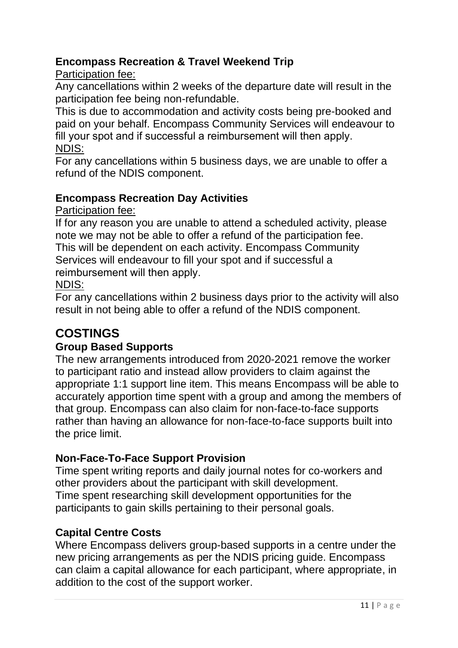## **Encompass Recreation & Travel Weekend Trip**

Participation fee:

Any cancellations within 2 weeks of the departure date will result in the participation fee being non-refundable.

This is due to accommodation and activity costs being pre-booked and paid on your behalf. Encompass Community Services will endeavour to fill your spot and if successful a reimbursement will then apply.    NDIS:

For any cancellations within 5 business days, we are unable to offer a refund of the NDIS component.

## **Encompass Recreation Day Activities**

Participation fee:

If for any reason you are unable to attend a scheduled activity, please note we may not be able to offer a refund of the participation fee. This will be dependent on each activity. Encompass Community Services will endeavour to fill your spot and if successful a reimbursement will then apply.   

#### NDIS:

For any cancellations within 2 business days prior to the activity will also result in not being able to offer a refund of the NDIS component.

# **COSTINGS**

#### **Group Based Supports**

The new arrangements introduced from 2020-2021 remove the worker to participant ratio and instead allow providers to claim against the appropriate 1:1 support line item. This means Encompass will be able to accurately apportion time spent with a group and among the members of that group. Encompass can also claim for non-face-to-face supports rather than having an allowance for non-face-to-face supports built into the price limit.

## **Non-Face-To-Face Support Provision**

Time spent writing reports and daily journal notes for co-workers and other providers about the participant with skill development. Time spent researching skill development opportunities for the participants to gain skills pertaining to their personal goals.

#### **Capital Centre Costs**

Where Encompass delivers group-based supports in a centre under the new pricing arrangements as per the NDIS pricing guide. Encompass can claim a capital allowance for each participant, where appropriate, in addition to the cost of the support worker.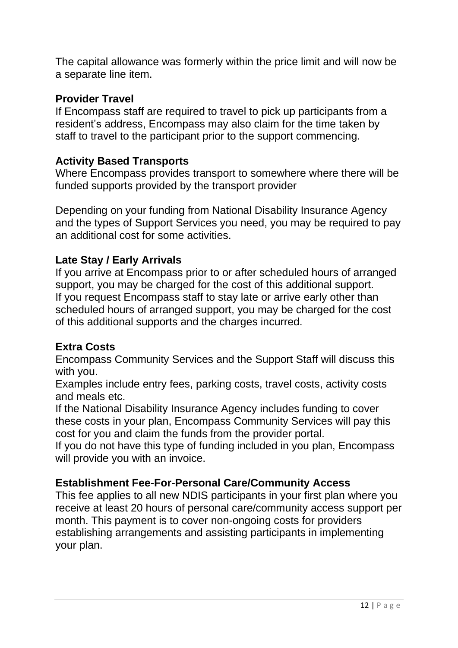The capital allowance was formerly within the price limit and will now be a separate line item.

#### **Provider Travel**

If Encompass staff are required to travel to pick up participants from a resident's address, Encompass may also claim for the time taken by staff to travel to the participant prior to the support commencing.

## **Activity Based Transports**

Where Encompass provides transport to somewhere where there will be funded supports provided by the transport provider

Depending on your funding from National Disability Insurance Agency and the types of Support Services you need, you may be required to pay an additional cost for some activities.

## **Late Stay / Early Arrivals**

If you arrive at Encompass prior to or after scheduled hours of arranged support, you may be charged for the cost of this additional support. If you request Encompass staff to stay late or arrive early other than scheduled hours of arranged support, you may be charged for the cost of this additional supports and the charges incurred.

#### **Extra Costs**

Encompass Community Services and the Support Staff will discuss this with you.

Examples include entry fees, parking costs, travel costs, activity costs and meals etc.

If the National Disability Insurance Agency includes funding to cover these costs in your plan, Encompass Community Services will pay this cost for you and claim the funds from the provider portal.

If you do not have this type of funding included in you plan, Encompass will provide you with an invoice.

#### **Establishment Fee-For-Personal Care/Community Access**

This fee applies to all new NDIS participants in your first plan where you receive at least 20 hours of personal care/community access support per month. This payment is to cover non-ongoing costs for providers establishing arrangements and assisting participants in implementing your plan.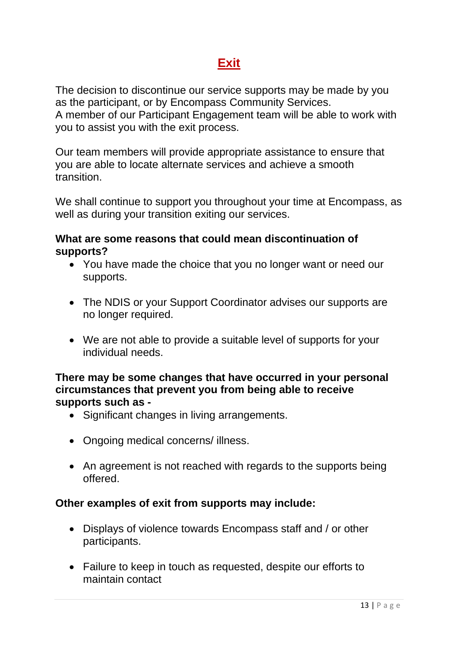# **Exit**

The decision to discontinue our service supports may be made by you as the participant, or by Encompass Community Services. A member of our Participant Engagement team will be able to work with you to assist you with the exit process.

Our team members will provide appropriate assistance to ensure that you are able to locate alternate services and achieve a smooth transition.

We shall continue to support you throughout your time at Encompass, as well as during your transition exiting our services.

#### **What are some reasons that could mean discontinuation of supports?**

- You have made the choice that you no longer want or need our supports.
- The NDIS or your Support Coordinator advises our supports are no longer required.
- We are not able to provide a suitable level of supports for your individual needs.

#### **There may be some changes that have occurred in your personal circumstances that prevent you from being able to receive supports such as -**

- Significant changes in living arrangements.
- Ongoing medical concerns/ illness.
- An agreement is not reached with regards to the supports being offered.

## **Other examples of exit from supports may include:**

- Displays of violence towards Encompass staff and / or other participants.
- Failure to keep in touch as requested, despite our efforts to maintain contact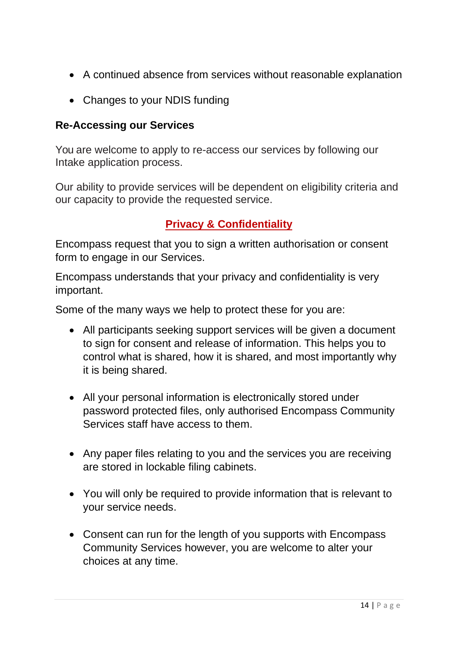- A continued absence from services without reasonable explanation
- Changes to your NDIS funding

#### **Re-Accessing our Services**

You are welcome to apply to re-access our services by following our Intake application process.

Our ability to provide services will be dependent on eligibility criteria and our capacity to provide the requested service.

#### **Privacy & Confidentiality**

Encompass request that you to sign a written authorisation or consent form to engage in our Services.

Encompass understands that your privacy and confidentiality is very important.

Some of the many ways we help to protect these for you are:

- All participants seeking support services will be given a document to sign for consent and release of information. This helps you to control what is shared, how it is shared, and most importantly why it is being shared.
- All your personal information is electronically stored under password protected files, only authorised Encompass Community Services staff have access to them.
- Any paper files relating to you and the services you are receiving are stored in lockable filing cabinets.
- You will only be required to provide information that is relevant to your service needs.
- Consent can run for the length of you supports with Encompass Community Services however, you are welcome to alter your choices at any time.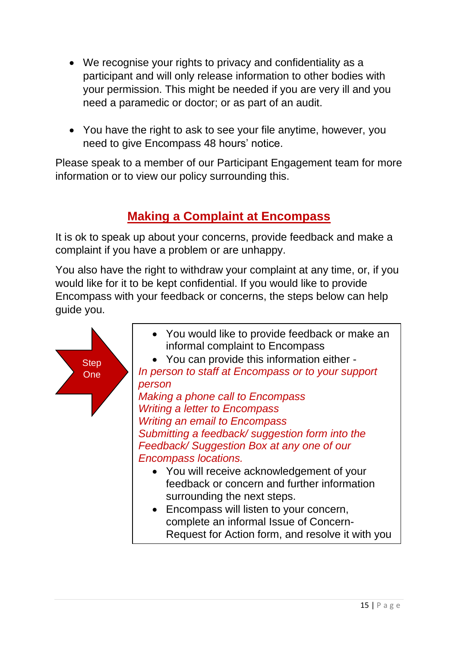- We recognise your rights to privacy and confidentiality as a participant and will only release information to other bodies with your permission. This might be needed if you are very ill and you need a paramedic or doctor; or as part of an audit.
- You have the right to ask to see your file anytime, however, you need to give Encompass 48 hours' notice.

Please speak to a member of our Participant Engagement team for more information or to view our policy surrounding this.

# **Making a Complaint at Encompass**

It is ok to speak up about your concerns, provide feedback and make a complaint if you have a problem or are unhappy.

You also have the right to withdraw your complaint at any time, or, if you would like for it to be kept confidential. If you would like to provide Encompass with your feedback or concerns, the steps below can help guide you.

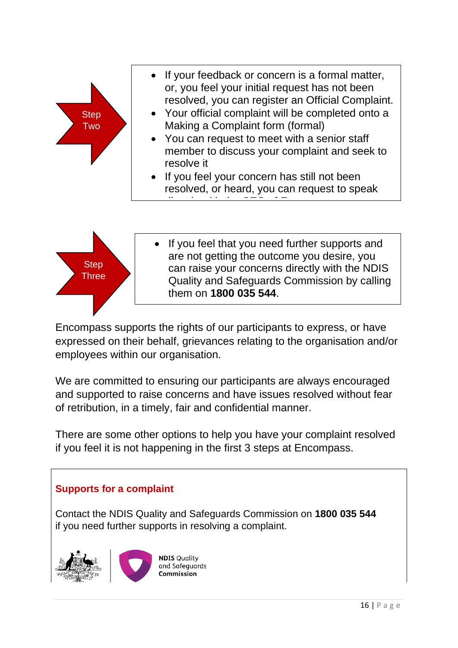



If you feel that you need further supports and are not getting the outcome you desire, you can raise your concerns directly with the NDIS Quality and Safeguards Commission by calling them on **1800 035 544**.

Encompass supports the rights of our participants to express, or have expressed on their behalf, grievances relating to the organisation and/or employees within our organisation.

We are committed to ensuring our participants are always encouraged and supported to raise concerns and have issues resolved without fear of retribution, in a timely, fair and confidential manner.

There are some other options to help you have your complaint resolved if you feel it is not happening in the first 3 steps at Encompass.

## **Supports for a complaint**

Contact the NDIS Quality and Safeguards Commission on **1800 035 544** if you need further supports in resolving a complaint.





**NDIS Quality** and Safeguards Commission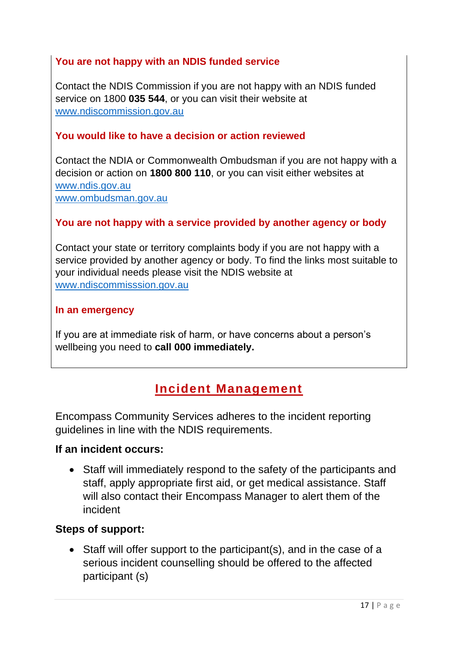#### **You are not happy with an NDIS funded service**

Contact the NDIS Commission if you are not happy with an NDIS funded service on 1800 **035 544**, or you can visit their website at [www.ndiscommission.gov.au](http://www.ndiscommission.gov.au/)

#### **You would like to have a decision or action reviewed**

Contact the NDIA or Commonwealth Ombudsman if you are not happy with a decision or action on **1800 800 110**, or you can visit either websites at [www.ndis.gov.au](http://www.ndis.gov.au/) [www.ombudsman.gov.au](http://www.ombudsman.gov.au/)

#### **You are not happy with a service provided by another agency or body**

Contact your state or territory complaints body if you are not happy with a service provided by another agency or body. To find the links most suitable to your individual needs please visit the NDIS website at [www.ndiscommisssion.gov.au](http://www.ndiscommisssion.gov.au/)

#### **In an emergency**

If you are at immediate risk of harm, or have concerns about a person's wellbeing you need to **call 000 immediately.** 

## **Incident Management**

Encompass Community Services adheres to the incident reporting guidelines in line with the NDIS requirements.

#### **If an incident occurs:**

• Staff will immediately respond to the safety of the participants and staff, apply appropriate first aid, or get medical assistance. Staff will also contact their Encompass Manager to alert them of the incident

#### **Steps of support:**

• Staff will offer support to the participant(s), and in the case of a serious incident counselling should be offered to the affected participant (s)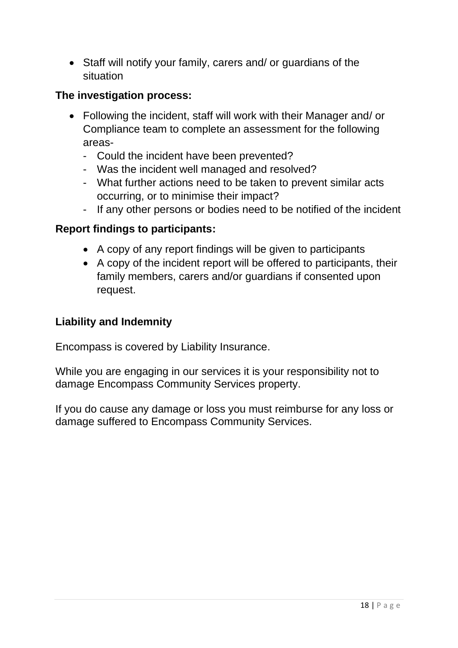• Staff will notify your family, carers and/ or guardians of the situation

## **The investigation process:**

- Following the incident, staff will work with their Manager and/ or Compliance team to complete an assessment for the following areas-
	- Could the incident have been prevented?
	- Was the incident well managed and resolved?
	- What further actions need to be taken to prevent similar acts occurring, or to minimise their impact?
	- If any other persons or bodies need to be notified of the incident

## **Report findings to participants:**

- A copy of any report findings will be given to participants
- A copy of the incident report will be offered to participants, their family members, carers and/or guardians if consented upon request.

#### **Liability and Indemnity**

Encompass is covered by Liability Insurance.

While you are engaging in our services it is your responsibility not to damage Encompass Community Services property.

If you do cause any damage or loss you must reimburse for any loss or damage suffered to Encompass Community Services.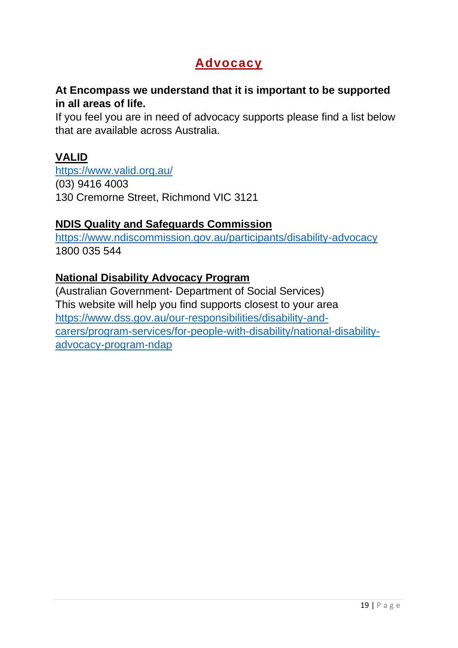# **Advocacy**

#### **At Encompass we understand that it is important to be supported in all areas of life.**

If you feel you are in need of advocacy supports please find a list below that are available across Australia.

## **VALID**

<https://www.valid.org.au/> (03) 9416 4003 130 Cremorne Street, Richmond VIC 3121

#### **NDIS Quality and Safeguards Commission**

<https://www.ndiscommission.gov.au/participants/disability-advocacy> 1800 035 544

#### **National Disability Advocacy Program**

(Australian Government- Department of Social Services) This website will help you find supports closest to your area [https://www.dss.gov.au/our-responsibilities/disability-and](https://www.dss.gov.au/our-responsibilities/disability-and-carers/program-services/for-people-with-disability/national-disability-advocacy-program-ndap)[carers/program-services/for-people-with-disability/national-disability](https://www.dss.gov.au/our-responsibilities/disability-and-carers/program-services/for-people-with-disability/national-disability-advocacy-program-ndap)[advocacy-program-ndap](https://www.dss.gov.au/our-responsibilities/disability-and-carers/program-services/for-people-with-disability/national-disability-advocacy-program-ndap)